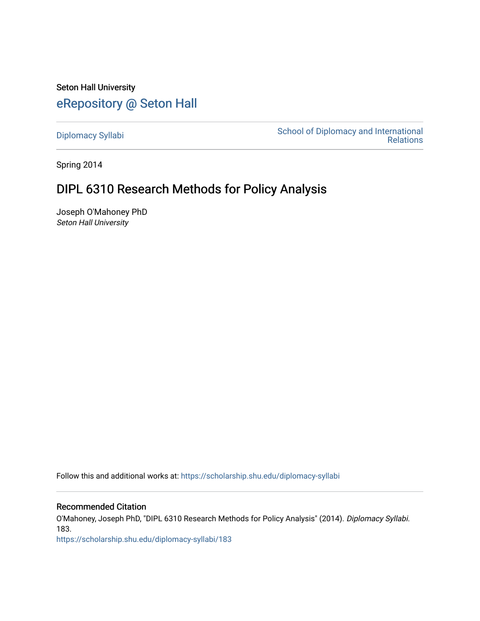Seton Hall University [eRepository @ Seton Hall](https://scholarship.shu.edu/)

[Diplomacy Syllabi](https://scholarship.shu.edu/diplomacy-syllabi) [School of Diplomacy and International](https://scholarship.shu.edu/diplomacy)  [Relations](https://scholarship.shu.edu/diplomacy) 

Spring 2014

# DIPL 6310 Research Methods for Policy Analysis

Joseph O'Mahoney PhD Seton Hall University

Follow this and additional works at: [https://scholarship.shu.edu/diplomacy-syllabi](https://scholarship.shu.edu/diplomacy-syllabi?utm_source=scholarship.shu.edu%2Fdiplomacy-syllabi%2F183&utm_medium=PDF&utm_campaign=PDFCoverPages) 

# Recommended Citation

O'Mahoney, Joseph PhD, "DIPL 6310 Research Methods for Policy Analysis" (2014). Diplomacy Syllabi. 183.

[https://scholarship.shu.edu/diplomacy-syllabi/183](https://scholarship.shu.edu/diplomacy-syllabi/183?utm_source=scholarship.shu.edu%2Fdiplomacy-syllabi%2F183&utm_medium=PDF&utm_campaign=PDFCoverPages)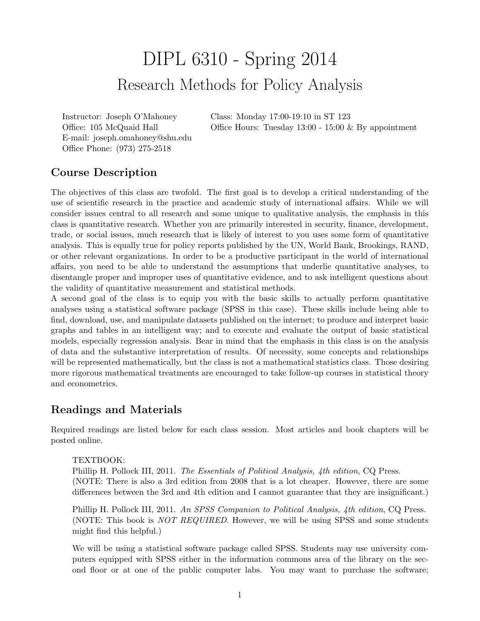# DIPL 6310 - Spring 2014 Research Methods for Policy Analysis

Instructor: Joseph O'Mahoney Office: 105 McQuaid Hall E-mail: joseph.omahoney@shu.edu Office Phone: (973) 275-2518

Class: Monday 17:00-19:10 in ST 123 Office Hours: Tuesday 13:00 - 15:00 & By appointment

# Course Description

The objectives of this class are twofold. The first goal is to develop a critical understanding of the use of scientific research in the practice and academic study of international affairs. While we will consider issues central to all research and some unique to qualitative analysis, the emphasis in this class is quantitative research. Whether you are primarily interested in security, finance, development, trade, or social issues, much research that is likely of interest to you uses some form of quantitative analysis. This is equally true for policy reports published by the UN, World Bank, Brookings, RAND, or other relevant organizations. In order to be a productive participant in the world of international affairs, you need to be able to understand the assumptions that underlie quantitative analyses, to disentangle proper and improper uses of quantitative evidence, and to ask intelligent questions about the validity of quantitative measurement and statistical methods.

A second goal of the class is to equip you with the basic skills to actually perform quantitative analyses using a statistical software package (SPSS in this case). These skills include being able to find, download, use, and manipulate datasets published on the internet; to produce and interpret basic graphs and tables in an intelligent way; and to execute and evaluate the output of basic statistical models, especially regression analysis. Bear in mind that the emphasis in this class is on the analysis of data and the substantive interpretation of results. Of necessity, some concepts and relationships will be represented mathematically, but the class is not a mathematical statistics class. Those desiring more rigorous mathematical treatments are encouraged to take follow-up courses in statistical theory and econometrics.

# Readings and Materials

Required readings are listed below for each class session. Most articles and book chapters will be posted online.

# TEXTBOOK:

Phillip H. Pollock III, 2011. The Essentials of Political Analysis, 4th edition, CQ Press. (NOTE: There is also a 3rd edition from 2008 that is a lot cheaper. However, there are some differences between the 3rd and 4th edition and I cannot guarantee that they are insignificant.)

Phillip H. Pollock III, 2011. An SPSS Companion to Political Analysis, 4th edition, CQ Press. (NOTE: This book is NOT REQUIRED. However, we will be using SPSS and some students might find this helpful.)

We will be using a statistical software package called SPSS. Students may use university computers equipped with SPSS either in the information commons area of the library on the second floor or at one of the public computer labs. You may want to purchase the software;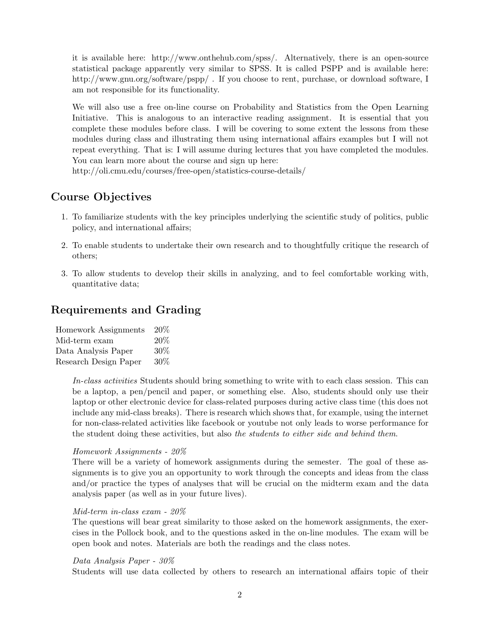it is available here: http://www.onthehub.com/spss/. Alternatively, there is an open-source statistical package apparently very similar to SPSS. It is called PSPP and is available here: http://www.gnu.org/software/pspp/. If you choose to rent, purchase, or download software, I am not responsible for its functionality.

We will also use a free on-line course on Probability and Statistics from the Open Learning Initiative. This is analogous to an interactive reading assignment. It is essential that you complete these modules before class. I will be covering to some extent the lessons from these modules during class and illustrating them using international affairs examples but I will not repeat everything. That is: I will assume during lectures that you have completed the modules. You can learn more about the course and sign up here:

http://oli.cmu.edu/courses/free-open/statistics-course-details/

# Course Objectives

- 1. To familiarize students with the key principles underlying the scientific study of politics, public policy, and international affairs;
- 2. To enable students to undertake their own research and to thoughtfully critique the research of others;
- 3. To allow students to develop their skills in analyzing, and to feel comfortable working with, quantitative data;

# Requirements and Grading

| Homework Assignments  | 20% |
|-----------------------|-----|
| Mid-term exam         | 20% |
| Data Analysis Paper   | 30% |
| Research Design Paper | 30% |

In-class activities Students should bring something to write with to each class session. This can be a laptop, a pen/pencil and paper, or something else. Also, students should only use their laptop or other electronic device for class-related purposes during active class time (this does not include any mid-class breaks). There is research which shows that, for example, using the internet for non-class-related activities like facebook or youtube not only leads to worse performance for the student doing these activities, but also the students to either side and behind them.

## Homework Assignments - 20%

There will be a variety of homework assignments during the semester. The goal of these assignments is to give you an opportunity to work through the concepts and ideas from the class and/or practice the types of analyses that will be crucial on the midterm exam and the data analysis paper (as well as in your future lives).

#### Mid-term in-class exam - 20%

The questions will bear great similarity to those asked on the homework assignments, the exercises in the Pollock book, and to the questions asked in the on-line modules. The exam will be open book and notes. Materials are both the readings and the class notes.

### Data Analysis Paper - 30%

Students will use data collected by others to research an international affairs topic of their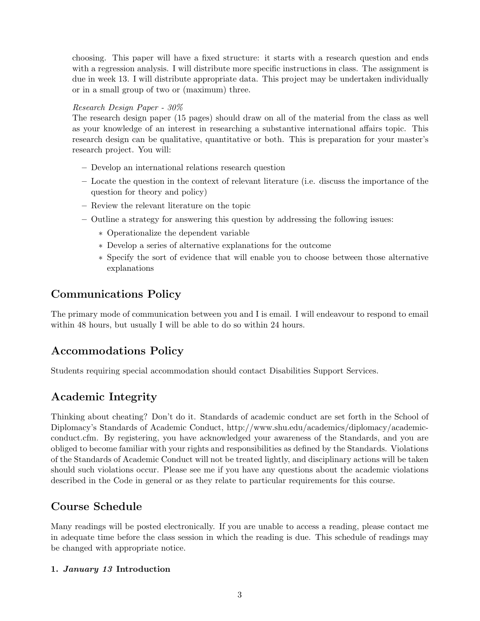choosing. This paper will have a fixed structure: it starts with a research question and ends with a regression analysis. I will distribute more specific instructions in class. The assignment is due in week 13. I will distribute appropriate data. This project may be undertaken individually or in a small group of two or (maximum) three.

# Research Design Paper - 30%

The research design paper (15 pages) should draw on all of the material from the class as well as your knowledge of an interest in researching a substantive international affairs topic. This research design can be qualitative, quantitative or both. This is preparation for your master's research project. You will:

- Develop an international relations research question
- Locate the question in the context of relevant literature (i.e. discuss the importance of the question for theory and policy)
- Review the relevant literature on the topic
- Outline a strategy for answering this question by addressing the following issues:
	- ∗ Operationalize the dependent variable
	- ∗ Develop a series of alternative explanations for the outcome
	- ∗ Specify the sort of evidence that will enable you to choose between those alternative explanations

# Communications Policy

The primary mode of communication between you and I is email. I will endeavour to respond to email within 48 hours, but usually I will be able to do so within 24 hours.

# Accommodations Policy

Students requiring special accommodation should contact Disabilities Support Services.

# Academic Integrity

Thinking about cheating? Don't do it. Standards of academic conduct are set forth in the School of Diplomacy's Standards of Academic Conduct, http://www.shu.edu/academics/diplomacy/academicconduct.cfm. By registering, you have acknowledged your awareness of the Standards, and you are obliged to become familiar with your rights and responsibilities as defined by the Standards. Violations of the Standards of Academic Conduct will not be treated lightly, and disciplinary actions will be taken should such violations occur. Please see me if you have any questions about the academic violations described in the Code in general or as they relate to particular requirements for this course.

# Course Schedule

Many readings will be posted electronically. If you are unable to access a reading, please contact me in adequate time before the class session in which the reading is due. This schedule of readings may be changed with appropriate notice.

# 1. January 13 Introduction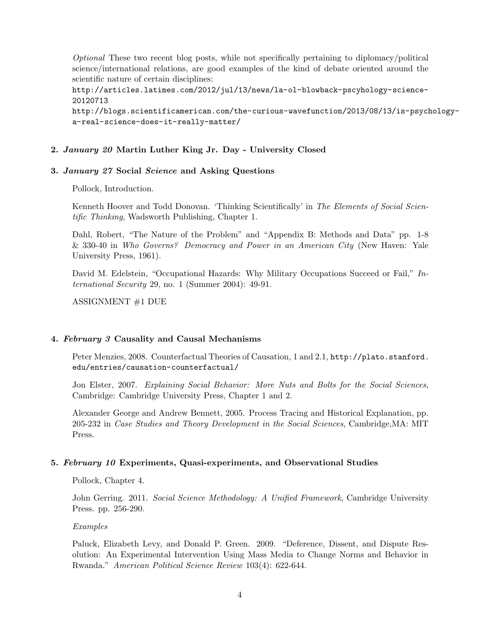Optional These two recent blog posts, while not specifically pertaining to diplomacy/political science/international relations, are good examples of the kind of debate oriented around the scientific nature of certain disciplines:

http://articles.latimes.com/2012/jul/13/news/la-ol-blowback-pscyhology-science-20120713 http://blogs.scientificamerican.com/the-curious-wavefunction/2013/08/13/is-psychology-

a-real-science-does-it-really-matter/

# 2. January 20 Martin Luther King Jr. Day - University Closed

## 3. January 27 Social Science and Asking Questions

Pollock, Introduction.

Kenneth Hoover and Todd Donovan. 'Thinking Scientifically' in The Elements of Social Scientific Thinking, Wadsworth Publishing, Chapter 1.

Dahl, Robert, "The Nature of the Problem" and "Appendix B: Methods and Data" pp. 1-8 & 330-40 in Who Governs? Democracy and Power in an American City (New Haven: Yale University Press, 1961).

David M. Edelstein, "Occupational Hazards: Why Military Occupations Succeed or Fail," International Security 29, no. 1 (Summer 2004): 49-91.

ASSIGNMENT #1 DUE

# 4. February 3 Causality and Causal Mechanisms

Peter Menzies, 2008. Counterfactual Theories of Causation, 1 and 2.1, http://plato.stanford. edu/entries/causation-counterfactual/

Jon Elster, 2007. Explaining Social Behavior: More Nuts and Bolts for the Social Sciences, Cambridge: Cambridge University Press, Chapter 1 and 2.

Alexander George and Andrew Bennett, 2005. Process Tracing and Historical Explanation, pp. 205-232 in Case Studies and Theory Development in the Social Sciences, Cambridge,MA: MIT Press.

## 5. February 10 Experiments, Quasi-experiments, and Observational Studies

Pollock, Chapter 4.

John Gerring. 2011. Social Science Methodology: A Unified Framework, Cambridge University Press. pp. 256-290.

## Examples

Paluck, Elizabeth Levy, and Donald P. Green. 2009. "Deference, Dissent, and Dispute Resolution: An Experimental Intervention Using Mass Media to Change Norms and Behavior in Rwanda." American Political Science Review 103(4): 622-644.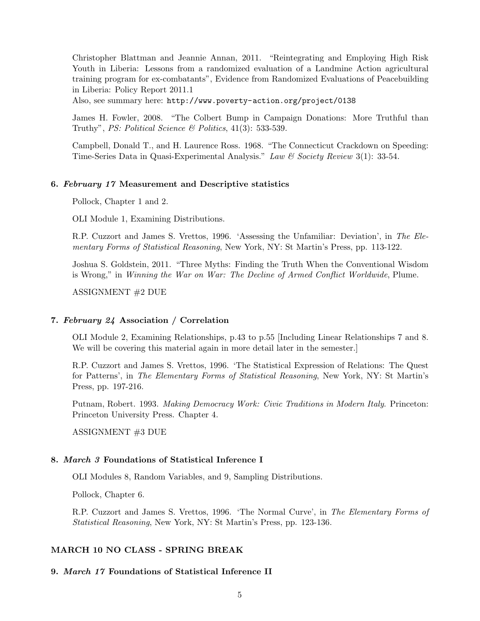Christopher Blattman and Jeannie Annan, 2011. "Reintegrating and Employing High Risk Youth in Liberia: Lessons from a randomized evaluation of a Landmine Action agricultural training program for ex-combatants", Evidence from Randomized Evaluations of Peacebuilding in Liberia: Policy Report 2011.1

Also, see summary here: http://www.poverty-action.org/project/0138

James H. Fowler, 2008. "The Colbert Bump in Campaign Donations: More Truthful than Truthy", *PS: Political Science*  $\&$  *Politics*, 41(3): 533-539.

Campbell, Donald T., and H. Laurence Ross. 1968. "The Connecticut Crackdown on Speeding: Time-Series Data in Quasi-Experimental Analysis." Law & Society Review 3(1): 33-54.

### 6. February 17 Measurement and Descriptive statistics

Pollock, Chapter 1 and 2.

OLI Module 1, Examining Distributions.

R.P. Cuzzort and James S. Vrettos, 1996. 'Assessing the Unfamiliar: Deviation', in The Elementary Forms of Statistical Reasoning, New York, NY: St Martin's Press, pp. 113-122.

Joshua S. Goldstein, 2011. "Three Myths: Finding the Truth When the Conventional Wisdom is Wrong," in Winning the War on War: The Decline of Armed Conflict Worldwide, Plume.

ASSIGNMENT #2 DUE

### 7. February 24 Association / Correlation

OLI Module 2, Examining Relationships, p.43 to p.55 [Including Linear Relationships 7 and 8. We will be covering this material again in more detail later in the semester.]

R.P. Cuzzort and James S. Vrettos, 1996. 'The Statistical Expression of Relations: The Quest for Patterns', in The Elementary Forms of Statistical Reasoning, New York, NY: St Martin's Press, pp. 197-216.

Putnam, Robert. 1993. Making Democracy Work: Civic Traditions in Modern Italy. Princeton: Princeton University Press. Chapter 4.

ASSIGNMENT #3 DUE

#### 8. March 3 Foundations of Statistical Inference I

OLI Modules 8, Random Variables, and 9, Sampling Distributions.

Pollock, Chapter 6.

R.P. Cuzzort and James S. Vrettos, 1996. 'The Normal Curve', in The Elementary Forms of Statistical Reasoning, New York, NY: St Martin's Press, pp. 123-136.

#### MARCH 10 NO CLASS - SPRING BREAK

### 9. March 17 Foundations of Statistical Inference II